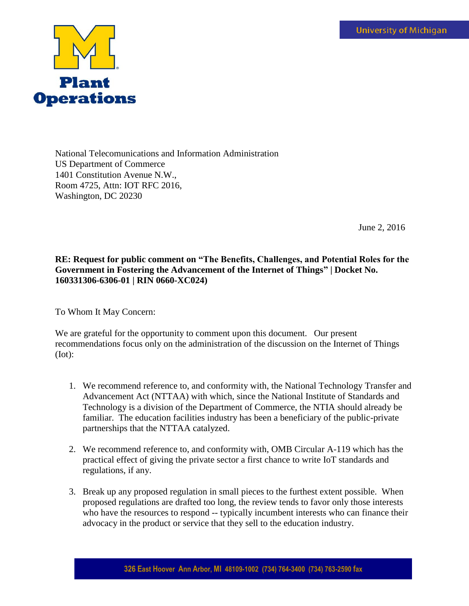

National Telecomunications and Information Administration US Department of Commerce 1401 Constitution Avenue N.W., Room 4725, Attn: IOT RFC 2016, Washington, DC 20230

June 2, 2016

## **RE: Request for public comment on "The Benefits, Challenges, and Potential Roles for the Government in Fostering the Advancement of the Internet of Things" | Docket No. 160331306-6306-01 | RIN 0660-XC024)**

To Whom It May Concern:

We are grateful for the opportunity to comment upon this document. Our present recommendations focus only on the administration of the discussion on the Internet of Things (Iot):

- 1. We recommend reference to, and conformity with, the National Technology Transfer and Advancement Act (NTTAA) with which, since the National Institute of Standards and Technology is a division of the Department of Commerce, the NTIA should already be familiar. The education facilities industry has been a beneficiary of the public-private partnerships that the NTTAA catalyzed.
- 2. We recommend reference to, and conformity with, OMB Circular A-119 which has the practical effect of giving the private sector a first chance to write IoT standards and regulations, if any.
- 3. Break up any proposed regulation in small pieces to the furthest extent possible. When proposed regulations are drafted too long, the review tends to favor only those interests who have the resources to respond -- typically incumbent interests who can finance their advocacy in the product or service that they sell to the education industry.